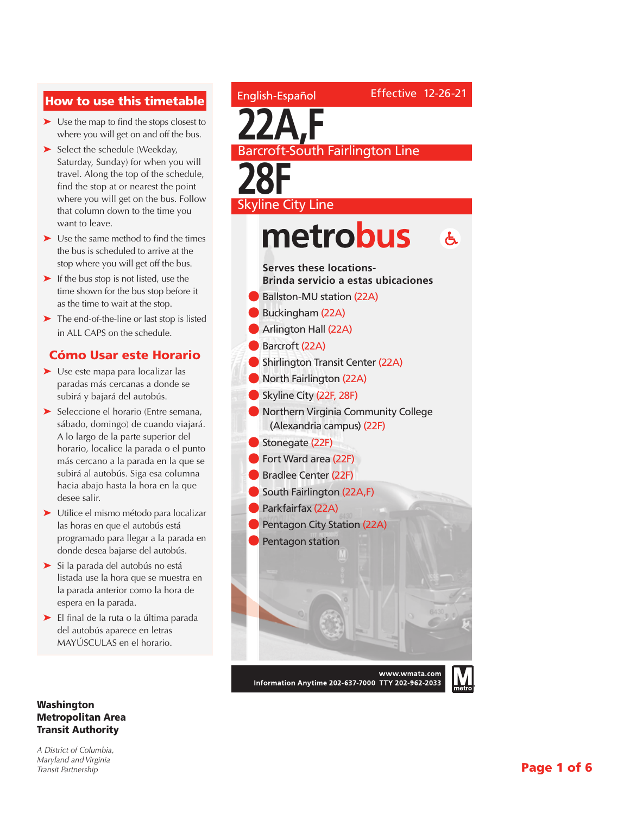### How to use this timetable

- ➤ Use the map to find the stops closest to where you will get on and off the bus.
- ➤ Select the schedule (Weekday, Saturday, Sunday) for when you will travel. Along the top of the schedule, find the stop at or nearest the point where you will get on the bus. Follow that column down to the time you want to leave.
- ➤ Use the same method to find the times the bus is scheduled to arrive at the stop where you will get off the bus.
- ► If the bus stop is not listed, use the time shown for the bus stop before it as the time to wait at the stop.
- ➤ The end-of-the-line or last stop is listed in ALL CAPS on the schedule.

### Cómo Usar este Horario

- ➤ Use este mapa para localizar las paradas más cercanas a donde se subirá y bajará del autobús.
- ➤ Seleccione el horario (Entre semana, sábado, domingo) de cuando viajará. A lo largo de la parte superior del horario, localice la parada o el punto más cercano a la parada en la que se subirá al autobús. Siga esa columna hacia abajo hasta la hora en la que desee salir.
- ➤ Utilice el mismo método para localizar las horas en que el autobús está programado para llegar a la parada en donde desea bajarse del autobús.
- ➤ Si la parada del autobús no está listada use la hora que se muestra en la parada anterior como la hora de espera en la parada.
- ➤ El final de la ruta o la última parada del autobús aparece en letras MAYÚSCULAS en el horario.

#### Washington Metropolitan Area Transit Authority

*A District of Columbia, Maryland and Virginia Transit Partnership*

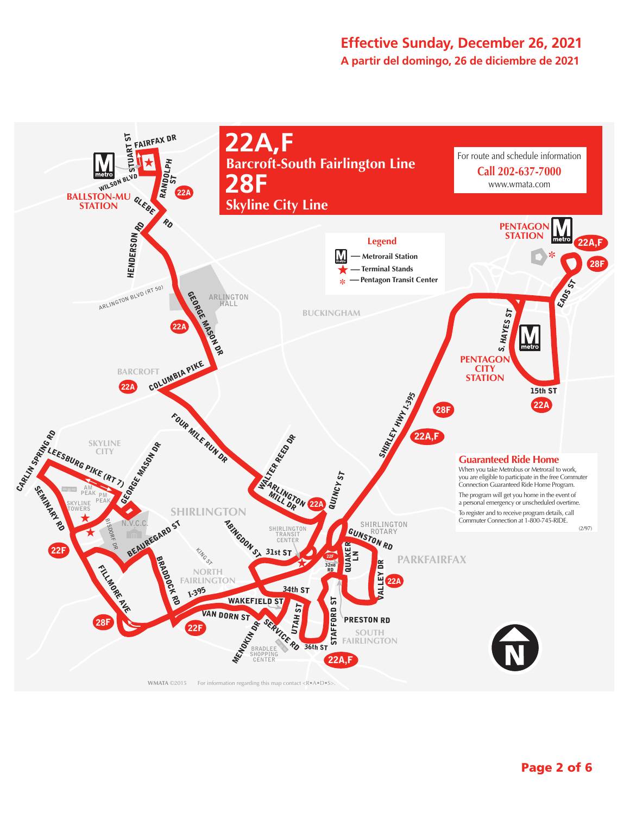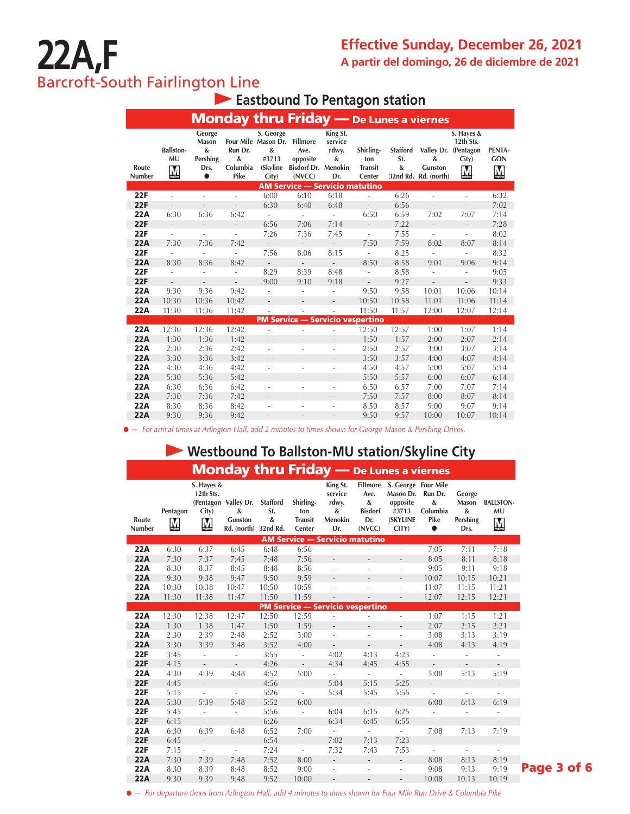# **22A,F** Barcroft-South Fairlington Line

**A partir del domingo, 26 de diciembre de 2021**

## **Eastbound To Pentagon station**

|                 |                                    |                                                                       |                                                  |                                                                     |                                                                             |                                          |                                              |                                             | Monday thru Friday - De Lunes a viernes                             |                                       |                           |
|-----------------|------------------------------------|-----------------------------------------------------------------------|--------------------------------------------------|---------------------------------------------------------------------|-----------------------------------------------------------------------------|------------------------------------------|----------------------------------------------|---------------------------------------------|---------------------------------------------------------------------|---------------------------------------|---------------------------|
| Route<br>Number | <b>Ballston-</b><br><b>MU</b><br>M | George<br>Mason<br>$\boldsymbol{\&}$<br>Pershing<br>Drs.<br>$\bullet$ | Run Dr.<br>$\boldsymbol{\&}$<br>Columbia<br>Pike | S. George<br>Four Mile Mason Dr.<br>&<br>#3713<br>(Skyline<br>City) | <b>Fillmore</b><br>Ave.<br>opposite<br><b>Bisdorf Dr. Menokin</b><br>(NVCC) | King St.<br>service<br>rdwy.<br>&<br>Dr. | Shirling-<br>ton<br><b>Transit</b><br>Center | <b>Stafford</b><br>St.<br>$\boldsymbol{\&}$ | Valley Dr. (Pentagon<br>&<br><b>Gunston</b><br>32nd Rd. Rd. (north) | S. Hayes &<br>12th Sts.<br>City)<br>M | PENTA-<br><b>GON</b><br>M |
|                 |                                    |                                                                       |                                                  |                                                                     | <b>AM Service - Servicio matutino</b>                                       |                                          |                                              |                                             |                                                                     |                                       |                           |
| <b>22F</b>      | ä,                                 | ÷.                                                                    | ÷.                                               | 6:00                                                                | 6:10                                                                        | 6:18                                     | $\overline{\phantom{a}}$                     | 6:26                                        | L.                                                                  | $\overline{\phantom{a}}$              | 6:32                      |
| 22F             | $\frac{1}{2}$                      | $\overline{\phantom{a}}$                                              | $\frac{1}{2}$                                    | 6:30                                                                | 6:40                                                                        | 6:48                                     | $\overline{\phantom{a}}$                     | 6:56                                        | $\overline{a}$                                                      | L,                                    | 7:02                      |
| 22A             | 6:30                               | 6:36                                                                  | 6:42                                             | ÷,                                                                  | ÷,                                                                          | ÷,                                       | 6:50                                         | 6:59                                        | 7:02                                                                | 7:07                                  | 7:14                      |
| 22F             | ÷.                                 | $\overline{\phantom{a}}$                                              | $\overline{\phantom{a}}$                         | 6:56                                                                | 7:06                                                                        | 7:14                                     | $\overline{\phantom{a}}$                     | 7:22                                        | $\overline{\phantom{0}}$                                            | $\frac{1}{2}$                         | 7:28                      |
| 22F             | ÷,                                 | $\overline{\phantom{a}}$                                              | L,                                               | 7:26                                                                | 7:36                                                                        | 7:45                                     | $\overline{\phantom{a}}$                     | 7:55                                        | ÷,                                                                  | ٠                                     | 8:02                      |
| 22A             | 7:30                               | 7:36                                                                  | 7:42                                             | $\overline{\phantom{a}}$                                            | $\overline{\phantom{a}}$                                                    | $\overline{\phantom{a}}$                 | 7:50                                         | 7:59                                        | 8:02                                                                | 8:07                                  | 8:14                      |
| 22F             | $\overline{a}$                     | ä,                                                                    | ÷,                                               | 7:56                                                                | 8:06                                                                        | 8:15                                     | $\overline{\phantom{a}}$                     | 8:25                                        | ÷,                                                                  | $\overline{\phantom{a}}$              | 8:32                      |
| 22A             | 8:30                               | 8:36                                                                  | 8:42                                             | $\overline{\phantom{a}}$                                            | $\overline{\phantom{a}}$                                                    | $\overline{\phantom{a}}$                 | 8:50                                         | 8:58                                        | 9:01                                                                | 9:06                                  | 9:14                      |
| 22F             | L,                                 | ä,                                                                    | ä,                                               | 8:29                                                                | 8:39                                                                        | 8:48                                     | $\overline{a}$                               | 8:58                                        | L                                                                   |                                       | 9:05                      |
| 22F             | ÷.                                 | $\overline{\phantom{a}}$                                              | L.                                               | 9:00                                                                | 9:10                                                                        | 9:18                                     | $\overline{\phantom{a}}$                     | 9:27                                        | ÷.                                                                  | $\overline{\phantom{m}}$              | 9:33                      |
| <b>22A</b>      | 9:30                               | 9:36                                                                  | 9:42                                             | ÷,                                                                  | ÷,                                                                          | ä,                                       | 9:50                                         | 9:58                                        | 10:01                                                               | 10:06                                 | 10:14                     |
| 22A             | 10:30                              | 10:36                                                                 | 10:42                                            | $\frac{1}{2}$                                                       | $\overline{\phantom{a}}$                                                    | $\overline{\phantom{a}}$                 | 10:50                                        | 10:58                                       | 11:01                                                               | 11:06                                 | 11:14                     |
| 22A             | 11:30                              | 11:36                                                                 | 11:42                                            | L,                                                                  | L.                                                                          | ÷.                                       | 11:50                                        | 11:57                                       | 12:00                                                               | 12:07                                 | 12:14                     |
|                 |                                    |                                                                       |                                                  |                                                                     | <b>PM Service - Servicio vespertino</b>                                     |                                          |                                              |                                             |                                                                     |                                       |                           |
| <b>22A</b>      | 12:30                              | 12:36                                                                 | 12:42                                            |                                                                     |                                                                             | ä,                                       | 12:50                                        | 12:57                                       | 1:00                                                                | 1:07                                  | 1:14                      |
| 22A             | 1:30                               | 1:36                                                                  | 1:42                                             | $\frac{1}{2}$                                                       | $\overline{\phantom{0}}$                                                    | $\overline{\phantom{a}}$                 | 1:50                                         | 1:57                                        | 2:00                                                                | 2:07                                  | 2:14                      |
| 22A             | 2:30                               | 2:36                                                                  | 2:42                                             | ٠                                                                   | ٠                                                                           | ٠                                        | 2:50                                         | 2:57                                        | 3:00                                                                | 3:07                                  | 3:14                      |
| 22A             | 3:30                               | 3:36                                                                  | 3:42                                             | $\overline{a}$                                                      | $\overline{\phantom{0}}$                                                    | $\overline{\phantom{a}}$                 | 3:50                                         | 3:57                                        | 4:00                                                                | 4:07                                  | 4:14                      |
| <b>22A</b>      | 4:30                               | 4:36                                                                  | 4:42                                             | i.                                                                  |                                                                             |                                          | 4:50                                         | 4:57                                        | 5:00                                                                | 5:07                                  | 5:14                      |
| 22A             | 5:30                               | 5:36                                                                  | 5:42                                             | $\overline{\phantom{m}}$                                            | $\overline{\phantom{0}}$                                                    | $\overline{\phantom{a}}$                 | 5:50                                         | 5:57                                        | 6:00                                                                | 6:07                                  | 6:14                      |
| <b>22A</b>      | 6:30                               | 6:36                                                                  | 6:42                                             | J.                                                                  | ä,                                                                          | ٠                                        | 6:50                                         | 6:57                                        | 7:00                                                                | 7:07                                  | 7:14                      |
| 22A             | 7:30                               | 7:36                                                                  | 7:42                                             | $\overline{\phantom{a}}$                                            | ٠                                                                           | $\overline{\phantom{a}}$                 | 7:50                                         | 7:57                                        | 8:00                                                                | 8:07                                  | 8:14                      |
| <b>22A</b>      | 8:30                               | 8:36                                                                  | 8:42                                             | L,                                                                  | i.                                                                          | ٠                                        | 8:50                                         | 8:57                                        | 9:00                                                                | 9:07                                  | 9:14                      |
| 22A             | 9:30                               | 9:36                                                                  | 9:42                                             | L,                                                                  | $\overline{\phantom{0}}$                                                    |                                          | 9:50                                         | 9:57                                        | 10:00                                                               | 10:07                                 | 10:14                     |

l *— For arrival times at Arlington Hall, add 2 minutes to times shown for George Mason & Pershing Drives.*

### **Westbound To Ballston-MU station/Skyline City**

|                        |               |                                                             | <b>Monday thru Friday - De Lunes a viernes</b>               |                             |                                              |                                                     |                                                                 |                                                                                           |                                    |                                          |                             |
|------------------------|---------------|-------------------------------------------------------------|--------------------------------------------------------------|-----------------------------|----------------------------------------------|-----------------------------------------------------|-----------------------------------------------------------------|-------------------------------------------------------------------------------------------|------------------------------------|------------------------------------------|-----------------------------|
| Route<br><b>Number</b> | Pentagon<br>M | S. Hayes &<br>12th Sts.<br>City)<br>$\overline{\mathsf{M}}$ | (Pentagon Valley Dr.<br>&<br>Gunston<br>Rd. (north) 32nd Rd. | <b>Stafford</b><br>St.<br>& | Shirling-<br>ton<br><b>Transit</b><br>Center | King St.<br>service<br>rdwy.<br>&<br>Menokin<br>Dr. | <b>Fillmore</b><br>Ave.<br>&<br><b>Bisdorf</b><br>Dr.<br>(NVCC) | S. George Four Mile<br>Mason Dr. Run Dr.<br>opposite<br>#3713<br><b>(SKYLINE</b><br>CITY) | &<br>Columbia<br>Pike<br>$\bullet$ | George<br>Mason<br>&<br>Pershing<br>Drs. | <b>BALLSTON-</b><br>MU<br>M |
|                        |               |                                                             |                                                              |                             | <b>AM Service - Servicio matutino</b>        |                                                     |                                                                 |                                                                                           |                                    |                                          |                             |
| <b>22A</b>             | 6:30          | 6:37                                                        | 6:45                                                         | 6:48                        | 6:56                                         |                                                     |                                                                 | ÷,                                                                                        | 7:05                               | 7:11                                     | 7:18                        |
| 22A                    | 7:30          | 7:37                                                        | 7:45                                                         | 7:48                        | 7:56                                         | $\overline{\phantom{0}}$                            | $\overline{\phantom{a}}$                                        | $\overline{\phantom{0}}$                                                                  | 8:05                               | 8:11                                     | 8:18                        |
| 22A                    | 8:30          | 8:37                                                        | 8:45                                                         | 8:48                        | 8:56                                         |                                                     |                                                                 | $\overline{\phantom{0}}$                                                                  | 9:05                               | 9:11                                     | 9:18                        |
| 22A                    | 9:30          | 9:38                                                        | 9:47                                                         | 9:50                        | 9:59                                         |                                                     |                                                                 |                                                                                           | 10:07                              | 10:15                                    | 10:21                       |
| 22A                    | 10:30         | 10:38                                                       | 10:47                                                        | 10:50                       | 10:59                                        |                                                     |                                                                 | ٠                                                                                         | 11:07                              | 11:15                                    | 11:21                       |
| 22A                    | 11:30         | 11:38                                                       | 11:47                                                        | 11:50                       | 11:59                                        |                                                     | $\overline{a}$                                                  | $\overline{\phantom{0}}$                                                                  | 12:07                              | 12:15                                    | 12:21                       |
|                        |               |                                                             |                                                              |                             | <b>PM Service - Servicio vespertino</b>      |                                                     |                                                                 |                                                                                           |                                    |                                          |                             |
| <b>22A</b>             | 12:30         | 12:38                                                       | 12:47                                                        | 12:50                       | 12:59                                        | $\overline{a}$                                      |                                                                 | $\overline{\phantom{0}}$                                                                  | 1:07                               | 1:15                                     | 1:21                        |
| 22A                    | 1:30          | 1:38                                                        | 1:47                                                         | 1:50                        | 1:59                                         | $\frac{1}{2}$                                       |                                                                 | ÷,                                                                                        | 2:07                               | 2:15                                     | 2:21                        |
| <b>22A</b>             | 2:30          | 2:39                                                        | 2:48                                                         | 2:52                        | 3:00                                         | ÷                                                   | $\overline{\phantom{a}}$                                        | $\overline{\phantom{m}}$                                                                  | 3:08                               | 3:13                                     | 3:19                        |
| 22A                    | 3:30          | 3:39                                                        | 3:48                                                         | 3:52                        | 4:00                                         | $\overline{a}$                                      | $\overline{\phantom{a}}$                                        | $\overline{\phantom{a}}$                                                                  | 4:08                               | 4:13                                     | 4:19                        |
| 22F                    | 3:45          | $\overline{\phantom{a}}$                                    | $\overline{\phantom{a}}$                                     | 3:55                        | $\overline{\phantom{a}}$                     | 4:02                                                | 4:13                                                            | 4:23                                                                                      | $\overline{\phantom{a}}$           | ÷,                                       | $\overline{\phantom{a}}$    |
| <b>22F</b>             | 4:15          | $\overline{\phantom{a}}$                                    | $\overline{\phantom{a}}$                                     | 4:26                        | $\overline{\phantom{a}}$                     | 4:34                                                | 4:45                                                            | 4:55                                                                                      | $\overline{a}$                     | $\frac{1}{2}$                            | $\overline{\phantom{a}}$    |
| 22A                    | 4:30          | 4:39                                                        | 4:48                                                         | 4:52                        | 5:00                                         | $\overline{\phantom{a}}$                            | ÷,                                                              | $\overline{\phantom{a}}$                                                                  | 5:08                               | 5:13                                     | 5:19                        |
| <b>22F</b>             | 4:45          | $\overline{\phantom{a}}$                                    | $\sim$                                                       | 4:56                        | $\sim$                                       | 5:04                                                | 5:15                                                            | 5:25                                                                                      | $\mathcal{L}^{\mathcal{L}}$        | $\frac{1}{2}$                            | $\overline{\phantom{a}}$    |
| 22F                    | 5:15          | $\overline{\phantom{a}}$                                    | $\overline{\phantom{a}}$                                     | 5:26                        | $\overline{\phantom{a}}$                     | 5:34                                                | 5:45                                                            | 5:55                                                                                      | ÷,                                 | ÷                                        |                             |
| 22A                    | 5:30          | 5:39                                                        | 5:48                                                         | 5:52                        | 6:00                                         | $\sim$                                              | $\sim$                                                          | $\sim$                                                                                    | 6:08                               | 6:13                                     | 6:19                        |
| <b>22F</b>             | 5:45          | $\overline{\phantom{a}}$                                    | $\overline{\phantom{a}}$                                     | 5:56                        | $\overline{\phantom{a}}$                     | 6:04                                                | 6:15                                                            | 6:25                                                                                      | ä,                                 | $\overline{a}$                           |                             |
| <b>22F</b>             | 6:15          | $\overline{\phantom{a}}$                                    | $\overline{\phantom{a}}$                                     | 6:26                        | $\overline{\phantom{a}}$                     | 6:34                                                | 6:45                                                            | 6:55                                                                                      | $\overline{\phantom{a}}$           | $\overline{a}$                           | $\overline{\phantom{0}}$    |
| 22A                    | 6:30          | 6:39                                                        | 6:48                                                         | 6:52                        | 7:00                                         | $\overline{\phantom{a}}$                            | $\overline{\phantom{a}}$                                        | $\overline{\phantom{a}}$                                                                  | 7:08                               | 7:13                                     | 7:19                        |
| 22F                    | 6:45          | $\overline{\phantom{a}}$                                    | $\sim$                                                       | 6:54                        | $\overline{\phantom{a}}$                     | 7:02                                                | 7:13                                                            | 7:23                                                                                      | $\overline{a}$                     | $\frac{1}{2}$                            | $\overline{\phantom{a}}$    |
| <b>22F</b>             | 7:15          | $\overline{\phantom{a}}$                                    | $\overline{\phantom{a}}$                                     | 7:24                        | $\overline{\phantom{a}}$                     | 7:32                                                | 7:43                                                            | 7:53                                                                                      |                                    | ä,                                       |                             |
| 22A                    | 7:30          | 7:39                                                        | 7:48                                                         | 7:52                        | 8:00                                         | $\overline{\phantom{a}}$                            | $\overline{\phantom{a}}$                                        | $\overline{\phantom{a}}$                                                                  | 8:08                               | 8:13                                     | 8:19                        |
| 22A                    | 8:30          | 8:39                                                        | 8:48                                                         | 8:52                        | 9:00                                         | ä,                                                  | ÷,                                                              | $\overline{\phantom{m}}$                                                                  | 9:08                               | 9:13                                     | 9:19                        |
| 22A                    | 9:30          | 9:39                                                        | 9:48                                                         | 9:52                        | 10:00                                        |                                                     |                                                                 |                                                                                           | 10:08                              | 10:13                                    | 10:19                       |

l *— For departure times from Arlington Hall, add 4 minutes to times shown for Four Mile Run Drive & Columbia Pike*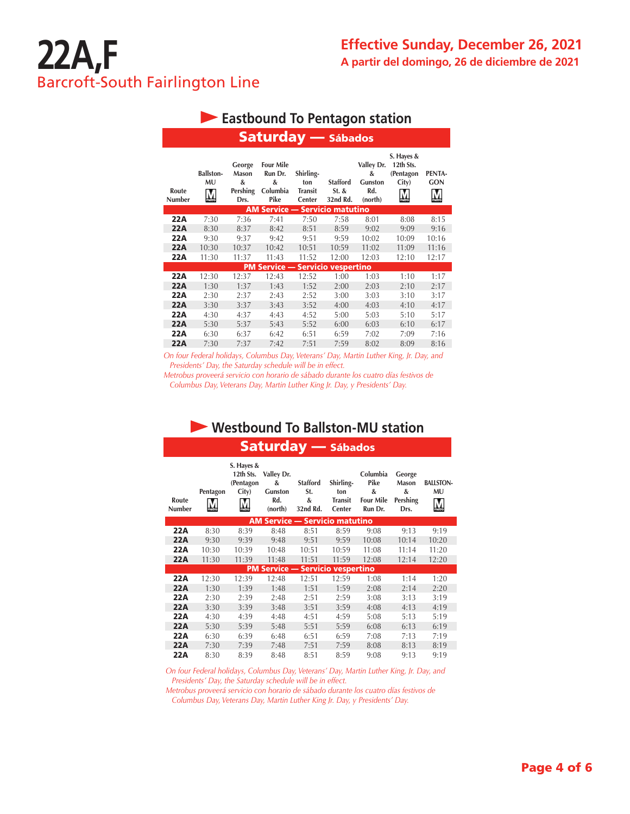|                 |                             | $\sim$ $\sim$ $\sim$ $\sim$                            |                                                      |                                              |                                        |                                                     |                                                                          |                           |
|-----------------|-----------------------------|--------------------------------------------------------|------------------------------------------------------|----------------------------------------------|----------------------------------------|-----------------------------------------------------|--------------------------------------------------------------------------|---------------------------|
| Route<br>Number | <b>Ballston-</b><br>MU<br>M | George<br><b>Mason</b><br>&<br><b>Pershing</b><br>Drs. | <b>Four Mile</b><br>Run Dr.<br>&<br>Columbia<br>Pike | Shirling-<br>ton<br><b>Transit</b><br>Center | <b>Stafford</b><br>$St.$ &<br>32nd Rd. | Valley Dr.<br>&<br><b>Gunston</b><br>Rd.<br>(north) | S. Hayes &<br>12th Sts.<br>(Pentagon<br>City)<br>$\overline{\mathsf{M}}$ | PENTA-<br><b>GON</b><br>Ņ |
|                 |                             |                                                        | <b>AM Service -</b>                                  |                                              | <b>Servicio matutino</b>               |                                                     |                                                                          |                           |
| 22A             | 7:30                        | 7:36                                                   | 7:41                                                 | 7:50                                         | 7:58                                   | 8:01                                                | 8:08                                                                     | 8:15                      |
| 22A             | 8:30                        | 8:37                                                   | 8:42                                                 | 8:51                                         | 8:59                                   | 9:02                                                | 9:09                                                                     | 9:16                      |
| 22A             | 9:30                        | 9:37                                                   | 9:42                                                 | 9:51                                         | 9:59                                   | 10:02                                               | 10:09                                                                    | 10:16                     |
| 22A             | 10:30                       | 10:37                                                  | 10:42                                                | 10:51                                        | 10:59                                  | 11:02                                               | 11:09                                                                    | 11:16                     |
| 22A             | 11:30                       | 11:37                                                  | 11:43                                                | 11:52                                        | 12:00                                  | 12:03                                               | 12:10                                                                    | 12:17                     |
|                 |                             |                                                        | <b>PM Service - Servicio vespertino</b>              |                                              |                                        |                                                     |                                                                          |                           |
| 22A             | 12:30                       | 12:37                                                  | 12:43                                                | 12:52                                        | 1:00                                   | 1:03                                                | 1:10                                                                     | 1:17                      |
| <b>22A</b>      | 1:30                        | 1:37                                                   | 1:43                                                 | 1:52                                         | 2:00                                   | 2:03                                                | 2:10                                                                     | 2:17                      |
| 22A             | 2:30                        | 2:37                                                   | 2:43                                                 | 2:52                                         | 3:00                                   | 3:03                                                | 3:10                                                                     | 3:17                      |
| 22A             | 3:30                        | 3:37                                                   | 3:43                                                 | 3:52                                         | 4:00                                   | 4:03                                                | 4:10                                                                     | 4:17                      |
| 22A             | 4:30                        | 4:37                                                   | 4:43                                                 | 4:52                                         | 5:00                                   | 5:03                                                | 5:10                                                                     | 5:17                      |
| 22A             | 5:30                        | 5:37                                                   | 5:43                                                 | 5:52                                         | 6:00                                   | 6:03                                                | 6:10                                                                     | 6:17                      |
| 22A             | 6:30                        | 6:37                                                   | 6:42                                                 | 6:51                                         | 6:59                                   | 7:02                                                | 7:09                                                                     | 7:16                      |
| 22A             | 7:30                        | 7:37                                                   | 7:42                                                 | 7:51                                         | 7:59                                   | 8:02                                                | 8:09                                                                     | 8:16                      |
|                 |                             |                                                        |                                                      |                                              |                                        |                                                     |                                                                          |                           |

#### Saturday — Sábados **Eastbound To Pentagon station**

*On four Federal holidays, Columbus Day, Veterans' Day, Martin Luther King, Jr. Day, and Presidents' Day, the Saturday schedule will be in effect.*

*Metrobus proveerá servicio con horario de sábado durante los cuatro días festivos de Columbus Day, Veterans Day, Martin Luther King Jr. Day, y Presidents' Day.*

### Saturday — Sábados **Westbound To Ballston-MU station**

| Route<br><b>Number</b> | Pentagon | S. Hayes &<br>12th Sts.<br>(Pentagon<br>City)<br>M | Valley Dr.<br>&<br><b>Gunston</b><br>Rd.<br>(north) | <b>Stafford</b><br>St.<br>&<br>32nd Rd. | Shirling-<br>ton<br><b>Transit</b><br>Center | Columbia<br>Pike<br>&<br><b>Four Mile</b><br>Run Dr. | George<br>Mason<br>&<br>Pershing<br>Drs. | <b>BALLSTON-</b><br>MU<br>$\overline{\mathsf{M}}$ |
|------------------------|----------|----------------------------------------------------|-----------------------------------------------------|-----------------------------------------|----------------------------------------------|------------------------------------------------------|------------------------------------------|---------------------------------------------------|
|                        |          |                                                    | <b>AM Service - Servicio matutino</b>               |                                         |                                              |                                                      |                                          |                                                   |
| 22A                    | 8:30     | 8:39                                               | 8:48                                                | 8:51                                    | 8:59                                         | 9:08                                                 | 9:13                                     | 9:19                                              |
| 22A                    | 9:30     | 9:39                                               | 9:48                                                | 9:51                                    | 9:59                                         | 10:08                                                | 10:14                                    | 10:20                                             |
| 22A                    | 10:30    | 10:39                                              | 10:48                                               | 10:51                                   | 10:59                                        | 11:08                                                | 11:14                                    | 11:20                                             |
| 22A                    | 11:30    | 11:39                                              | 11:48                                               | 11:51                                   | 11:59                                        | 12:08                                                | 12:14                                    | 12:20                                             |
|                        |          |                                                    | <b>PM Service - Servicio vespertino</b>             |                                         |                                              |                                                      |                                          |                                                   |
| 22A                    | 12:30    | 12:39                                              | 12:48                                               | 12:51                                   | 12:59                                        | 1:08                                                 | 1:14                                     | 1:20                                              |
| 22A                    | 1:30     | 1:39                                               | 1:48                                                | 1:51                                    | 1:59                                         | 2:08                                                 | 2:14                                     | 2:20                                              |
| 22A                    | 2:30     | 2:39                                               | 2:48                                                | 2:51                                    | 2:59                                         | 3:08                                                 | 3:13                                     | 3:19                                              |
| 22A                    | 3:30     | 3:39                                               | 3:48                                                | 3:51                                    | 3:59                                         | 4:08                                                 | 4:13                                     | 4:19                                              |
| 22A                    | 4:30     | 4:39                                               | 4:48                                                | 4:51                                    | 4:59                                         | 5:08                                                 | 5:13                                     | 5:19                                              |
| 22A                    | 5:30     | 5:39                                               | 5:48                                                | 5:51                                    | 5:59                                         | 6:08                                                 | 6:13                                     | 6:19                                              |
| 22A                    | 6:30     | 6:39                                               | 6:48                                                | 6:51                                    | 6:59                                         | 7:08                                                 | 7:13                                     | 7:19                                              |
| 22A                    | 7:30     | 7:39                                               | 7:48                                                | 7:51                                    | 7:59                                         | 8:08                                                 | 8:13                                     | 8:19                                              |
| 22A                    | 8:30     | 8:39                                               | 8:48                                                | 8:51                                    | 8:59                                         | 9:08                                                 | 9:13                                     | 9:19                                              |

*On four Federal holidays, Columbus Day, Veterans' Day, Martin Luther King, Jr. Day, and Presidents' Day, the Saturday schedule will be in effect.*

*Metrobus proveerá servicio con horario de sábado durante los cuatro días festivos de Columbus Day, Veterans Day, Martin Luther King Jr. Day, y Presidents' Day.*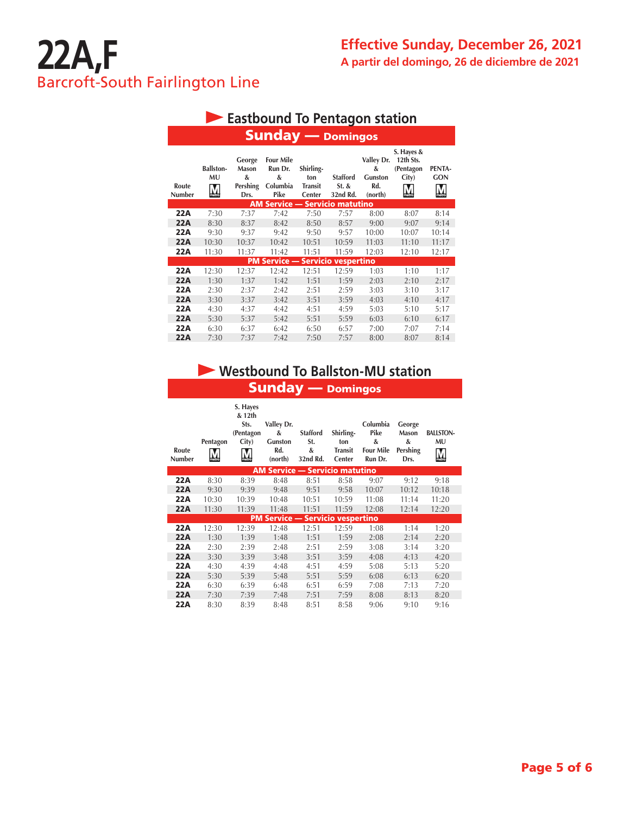# **22A,F** Barcroft-South Fairlington Line

| <b>Sunday — Domingos</b>              |                             |                                          |                                                      |                                                     |                                      |                                              |                                                    |                      |  |
|---------------------------------------|-----------------------------|------------------------------------------|------------------------------------------------------|-----------------------------------------------------|--------------------------------------|----------------------------------------------|----------------------------------------------------|----------------------|--|
| Route<br><b>Number</b>                | <b>Ballston-</b><br>MU<br>Ñ | George<br>Mason<br>&<br>Pershing<br>Drs. | <b>Four Mile</b><br>Run Dr.<br>&<br>Columbia<br>Pike | Shirling-<br>ton<br><b>Transit</b><br><b>Center</b> | <b>Stafford</b><br>St. &<br>32nd Rd. | Valley Dr.<br>&<br>Gunston<br>Rd.<br>(north) | S. Hayes &<br>12th Sts.<br>(Pentagon<br>City)<br>M | PENTA-<br><b>GON</b> |  |
| <b>AM Service — Servicio matutino</b> |                             |                                          |                                                      |                                                     |                                      |                                              |                                                    |                      |  |
| 22A                                   | 7:30                        | 7:37                                     | 7:42                                                 | 7:50                                                | 7:57                                 | 8:00                                         | 8:07                                               | 8:14                 |  |
| 22A                                   | 8:30                        | 8:37                                     | 8:42                                                 | 8:50                                                | 8:57                                 | 9:00                                         | 9:07                                               | 9:14                 |  |
| 22A                                   | 9:30                        | 9:37                                     | 9:42                                                 | 9:50                                                | 9:57                                 | 10:00                                        | 10:07                                              | 10:14                |  |
| <b>22A</b>                            | 10:30                       | 10:37                                    | 10:42                                                | 10:51                                               | 10:59                                | 11:03                                        | 11:10                                              | 11:17                |  |
| 22A                                   | 11:30                       | 11:37                                    | 11:42                                                | 11:51                                               | 11:59                                | 12:03                                        | 12:10                                              | 12:17                |  |
|                                       |                             |                                          | <b>PM Service - Servicio vespertino</b>              |                                                     |                                      |                                              |                                                    |                      |  |
| 22A                                   | 12:30                       | 12:37                                    | 12:42                                                | 12:51                                               | 12:59                                | 1:03                                         | 1:10                                               | 1:17                 |  |
| 22A                                   | 1:30                        | 1:37                                     | 1:42                                                 | 1:51                                                | 1:59                                 | 2:03                                         | 2:10                                               | 2:17                 |  |
| 22A                                   | 2:30                        | 2:37                                     | 2:42                                                 | 2:51                                                | 2:59                                 | 3:03                                         | 3:10                                               | 3:17                 |  |
| 22A                                   | 3:30                        | 3:37                                     | 3:42                                                 | 3:51                                                | 3:59                                 | 4:03                                         | 4:10                                               | 4:17                 |  |
| 22A                                   | 4:30                        | 4:37                                     | 4:42                                                 | 4:51                                                | 4:59                                 | 5:03                                         | 5:10                                               | 5:17                 |  |
| 22A                                   | 5:30                        | 5:37                                     | 5:42                                                 | 5:51                                                | 5:59                                 | 6:03                                         | 6:10                                               | 6:17                 |  |
| 22A                                   | 6:30                        | 6:37                                     | 6:42                                                 | 6:50                                                | 6:57                                 | 7:00                                         | 7:07                                               | 7:14                 |  |
| <b>22A</b>                            | 7:30                        | 7:37                                     | 7:42                                                 | 7:50                                                | 7:57                                 | 8:00                                         | 8:07                                               | 8:14                 |  |
|                                       |                             |                                          |                                                      |                                                     |                                      |                                              |                                                    |                      |  |

### **Eastbound To Pentagon station**

### **• Westbound To Ballston-MU station**

### Sunday — Domingos

| Route<br>Number | Pentagon | S. Hayes<br>& 12th<br>Sts.<br>(Pentagon<br>City) | Valley Dr.<br>&<br><b>Gunston</b><br>Rd.<br>(north) | <b>Stafford</b><br>St.<br>&<br>32nd Rd. | Shirling-<br>ton<br><b>Transit</b><br>Center | Columbia<br>Pike<br>&<br><b>Four Mile</b><br>Run Dr. | George<br><b>Mason</b><br>&<br>Pershing<br>Drs. | <b>BALLSTON-</b><br><b>MU</b> |
|-----------------|----------|--------------------------------------------------|-----------------------------------------------------|-----------------------------------------|----------------------------------------------|------------------------------------------------------|-------------------------------------------------|-------------------------------|
|                 |          |                                                  | <b>AM Service — Servicio matutino</b>               |                                         |                                              |                                                      |                                                 |                               |
| 22A             | 8:30     | 8:39                                             | 8:48                                                | 8:51                                    | 8:58                                         | 9:07                                                 | 9:12                                            | 9:18                          |
| 22A             | 9:30     | 9:39                                             | 9:48                                                | 9:51                                    | 9:58                                         | 10:07                                                | 10:12                                           | 10:18                         |
| 22A             | 10:30    | 10:39                                            | 10:48                                               | 10:51                                   | 10:59                                        | 11:08                                                | 11:14                                           | 11:20                         |
| 22A             | 11:30    | 11:39                                            | 11:48                                               | 11:51                                   | 11:59                                        | 12:08                                                | 12:14                                           | 12:20                         |
|                 |          |                                                  | <b>PM Service - Servicio vespertino</b>             |                                         |                                              |                                                      |                                                 |                               |
| 22A             | 12:30    | 12:39                                            | 12:48                                               | 12:51                                   | 12:59                                        | 1:08                                                 | 1:14                                            | 1:20                          |
| 22A             | 1:30     | 1:39                                             | 1:48                                                | 1:51                                    | 1:59                                         | 2:08                                                 | 2:14                                            | 2:20                          |
| 22A             | 2:30     | 2:39                                             | 2:48                                                | 2:51                                    | 2:59                                         | 3:08                                                 | 3:14                                            | 3:20                          |
| 22A             | 3:30     | 3:39                                             | 3:48                                                | 3:51                                    | 3:59                                         | 4:08                                                 | 4:13                                            | 4:20                          |
| 22A             | 4:30     | 4:39                                             | 4:48                                                | 4:51                                    | 4:59                                         | 5:08                                                 | 5:13                                            | 5:20                          |
| 22A             | 5:30     | 5:39                                             | 5:48                                                | 5:51                                    | 5:59                                         | 6:08                                                 | 6:13                                            | 6:20                          |
| 22A             | 6:30     | 6:39                                             | 6:48                                                | 6:51                                    | 6:59                                         | 7:08                                                 | 7:13                                            | 7:20                          |
| 22A             | 7:30     | 7:39                                             | 7:48                                                | 7:51                                    | 7:59                                         | 8:08                                                 | 8:13                                            | 8:20                          |
| 22A             | 8:30     | 8:39                                             | 8:48                                                | 8:51                                    | 8:58                                         | 9:06                                                 | 9:10                                            | 9:16                          |